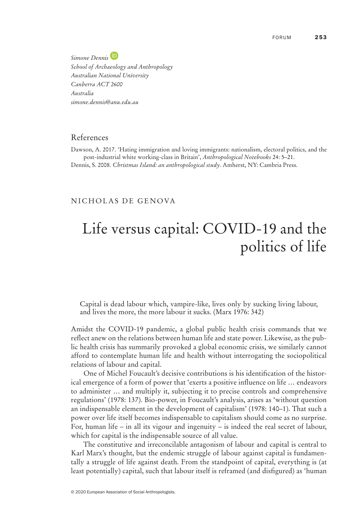*Simone Dennis School of Archaeology and Anthropology Australian National University Canberra ACT 2600 Australia simone.dennis@anu.edu.au*

## References

Dawson, A. 2017. 'Hating immigration and loving immigrants: nationalism, electoral politics, and the post‐industrial white working‐class in Britain', *Anthropological Notebooks* 24: 5–21. Dennis, S. 2008. *Christmas Island: an anthropological study*. Amherst, NY: Cambria Press.

## NICHOLAS DE GENOVA

## Life versus capital: COVID‐19 and the politics of life

Capital is dead labour which, vampire‐like, lives only by sucking living labour, and lives the more, the more labour it sucks. (Marx 1976: 342)

Amidst the COVID‐19 pandemic, a global public health crisis commands that we reflect anew on the relations between human life and state power. Likewise, as the public health crisis has summarily provoked a global economic crisis, we similarly cannot afford to contemplate human life and health without interrogating the sociopolitical relations of labour and capital.

One of Michel Foucault's decisive contributions is his identification of the historical emergence of a form of power that 'exerts a positive influence on life … endeavors to administer … and multiply it, subjecting it to precise controls and comprehensive regulations' (1978: 137). Bio‐power, in Foucault's analysis, arises as 'without question an indispensable element in the development of capitalism' (1978: 140–1). That such a power over life itself becomes indispensable to capitalism should come as no surprise. For, human life – in all its vigour and ingenuity – is indeed the real secret of labour, which for capital is the indispensable source of all value.

The constitutive and irreconcilable antagonism of labour and capital is central to Karl Marx's thought, but the endemic struggle of labour against capital is fundamentally a struggle of life against death. From the standpoint of capital, everything is (at least potentially) capital, such that labour itself is reframed (and disfigured) as 'human